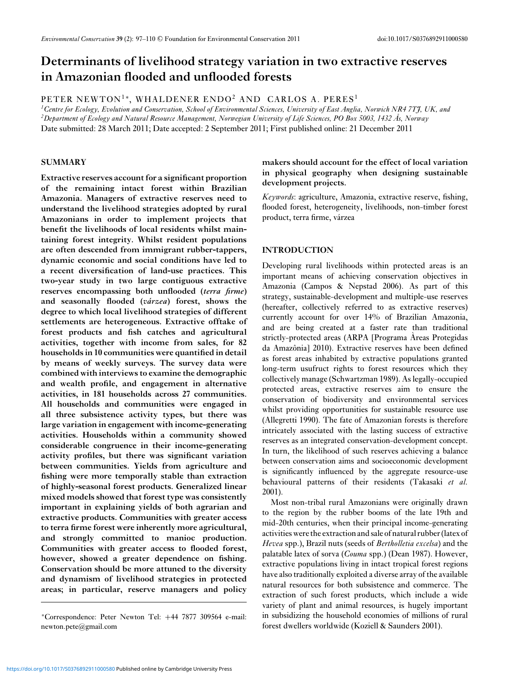# **Determinants of livelihood strategy variation in two extractive reserves in Amazonian flooded and unflooded forests**

PETER NEWTON<sup>1\*</sup>, WHALDENER ENDO<sup>2</sup> AND CARLOS A. PERES<sup>1</sup>

*1Centre for Ecology, Evolution and Conservation, School of Environmental Sciences, University of East Anglia, Norwich NR4 7TJ, UK, and 2Department of Ecology and Natural Resource Management, Norwegian University of Life Sciences, PO Box 5003, 1432 Ås, Norway* Date submitted: 28 March 2011; Date accepted: 2 September 2011; First published online: 21 December 2011

## **SUMMARY**

**Extractive reserves account for a significant proportion of the remaining intact forest within Brazilian Amazonia. Managers of extractive reserves need to understand the livelihood strategies adopted by rural Amazonians in order to implement projects that benefit the livelihoods of local residents whilst maintaining forest integrity. Whilst resident populations are often descended from immigrant rubber-tappers, dynamic economic and social conditions have led to a recent diversification of land-use practices. This two-year study in two large contiguous extractive reserves encompassing both unflooded (***terra firme***) and seasonally flooded (***várzea***) forest, shows the degree to which local livelihood strategies of different settlements are heterogeneous. Extractive offtake of forest products and fish catches and agricultural activities, together with income from sales, for 82 households in 10 communities were quantified in detail by means of weekly surveys. The survey data were combined with interviews to examine the demographic and wealth profile, and engagement in alternative activities, in 181 households across 27 communities. All households and communities were engaged in all three subsistence activity types, but there was large variation in engagement with income-generating activities. Households within a community showed considerable congruence in their income-generating activity profiles, but there was significant variation between communities. Yields from agriculture and fishing were more temporally stable than extraction of highly-seasonal forest products. Generalized linear mixed models showed that forest type was consistently important in explaining yields of both agrarian and extractive products. Communities with greater access to terra firme forest were inherently more agricultural, and strongly committed to manioc production. Communities with greater access to flooded forest, however, showed a greater dependence on fishing. Conservation should be more attuned to the diversity and dynamism of livelihood strategies in protected areas; in particular, reserve managers and policy**

# **makers should account for the effect of local variation in physical geography when designing sustainable development projects.**

*Keywords*: agriculture, Amazonia, extractive reserve, fishing, flooded forest, heterogeneity, livelihoods, non-timber forest product, terra firme, várzea

### **INTRODUCTION**

Developing rural livelihoods within protected areas is an important means of achieving conservation objectives in Amazonia (Campos & Nepstad 2006). As part of this strategy, sustainable-development and multiple-use reserves (hereafter, collectively referred to as extractive reserves) currently account for over 14% of Brazilian Amazonia, and are being created at a faster rate than traditional strictly-protected areas (ARPA [Programa Àreas Protegidas da Amazônia] 2010). Extractive reserves have been defined as forest areas inhabited by extractive populations granted long-term usufruct rights to forest resources which they collectively manage (Schwartzman 1989). As legally-occupied protected areas, extractive reserves aim to ensure the conservation of biodiversity and environmental services whilst providing opportunities for sustainable resource use (Allegretti 1990). The fate of Amazonian forests is therefore intricately associated with the lasting success of extractive reserves as an integrated conservation-development concept. In turn, the likelihood of such reserves achieving a balance between conservation aims and socioeconomic development is significantly influenced by the aggregate resource-use behavioural patterns of their residents (Takasaki *et al.* 2001).

Most non-tribal rural Amazonians were originally drawn to the region by the rubber booms of the late 19th and mid-20th centuries, when their principal income-generating activities were the extraction and sale of natural rubber (latex of *Hevea* spp.), Brazil nuts (seeds of *Bertholletia excelsa*) and the palatable latex of sorva (*Couma* spp.) (Dean 1987). However, extractive populations living in intact tropical forest regions have also traditionally exploited a diverse array of the available natural resources for both subsistence and commerce. The extraction of such forest products, which include a wide variety of plant and animal resources, is hugely important in subsidizing the household economies of millions of rural forest dwellers worldwide (Koziell & Saunders 2001).

<sup>∗</sup>Correspondence: Peter Newton Tel: +44 7877 309564 e-mail: newton.pete@gmail.com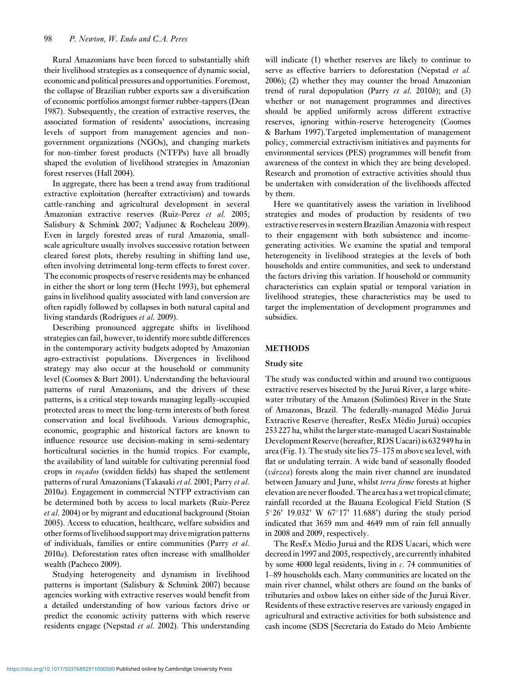Rural Amazonians have been forced to substantially shift their livelihood strategies as a consequence of dynamic social, economic and political pressures and opportunities. Foremost, the collapse of Brazilian rubber exports saw a diversification of economic portfolios amongst former rubber-tappers (Dean 1987). Subsequently, the creation of extractive reserves, the associated formation of residents' associations, increasing levels of support from management agencies and nongovernment organizations (NGOs), and changing markets for non-timber forest products (NTFPs) have all broadly shaped the evolution of livelihood strategies in Amazonian forest reserves (Hall 2004).

In aggregate, there has been a trend away from traditional extractive exploitation (hereafter extractivism) and towards cattle-ranching and agricultural development in several Amazonian extractive reserves (Ruiz-Perez *et al.* 2005; Salisbury & Schmink 2007; Vadjunec & Rocheleau 2009). Even in largely forested areas of rural Amazonia, smallscale agriculture usually involves successive rotation between cleared forest plots, thereby resulting in shifting land use, often involving detrimental long-term effects to forest cover. The economic prospects of reserve residents may be enhanced in either the short or long term (Hecht 1993), but ephemeral gains in livelihood quality associated with land conversion are often rapidly followed by collapses in both natural capital and living standards (Rodrigues *et al.* 2009).

Describing pronounced aggregate shifts in livelihood strategies can fail, however, to identify more subtle differences in the contemporary activity budgets adopted by Amazonian agro-extractivist populations. Divergences in livelihood strategy may also occur at the household or community level (Coomes & Burt 2001). Understanding the behavioural patterns of rural Amazonians, and the drivers of these patterns, is a critical step towards managing legally-occupied protected areas to meet the long-term interests of both forest conservation and local livelihoods. Various demographic, economic, geographic and historical factors are known to influence resource use decision-making in semi-sedentary horticultural societies in the humid tropics. For example, the availability of land suitable for cultivating perennial food crops in *roçados* (swidden fields) has shaped the settlement patterns of rural Amazonians (Takasaki *et al.* 2001; Parry *et al.* 2010*a*). Engagement in commercial NTFP extractivism can be determined both by access to local markets (Ruiz-Perez *et al.* 2004) or by migrant and educational background (Stoian 2005). Access to education, healthcare, welfare subsidies and other forms of livelihood support may drive migration patterns of individuals, families or entire communities (Parry *et al.* 2010*a*). Deforestation rates often increase with smallholder wealth (Pacheco 2009).

Studying heterogeneity and dynamism in livelihood patterns is important (Salisbury & Schmink 2007) because agencies working with extractive reserves would benefit from a detailed understanding of how various factors drive or predict the economic activity patterns with which reserve residents engage (Nepstad *et al.* 2002). This understanding will indicate (1) whether reserves are likely to continue to serve as effective barriers to deforestation (Nepstad *et al.* 2006); (2) whether they may counter the broad Amazonian trend of rural depopulation (Parry *et al.* 2010*b*); and (3) whether or not management programmes and directives should be applied uniformly across different extractive reserves, ignoring within-reserve heterogeneity (Coomes & Barham 1997).Targeted implementation of management policy, commercial extractivism initiatives and payments for environmental services (PES) programmes will benefit from awareness of the context in which they are being developed. Research and promotion of extractive activities should thus be undertaken with consideration of the livelihoods affected by them.

Here we quantitatively assess the variation in livelihood strategies and modes of production by residents of two extractive reserves in western Brazilian Amazonia with respect to their engagement with both subsistence and incomegenerating activities. We examine the spatial and temporal heterogeneity in livelihood strategies at the levels of both households and entire communities, and seek to understand the factors driving this variation. If household or community characteristics can explain spatial or temporal variation in livelihood strategies, these characteristics may be used to target the implementation of development programmes and subsidies.

# **METHODS**

### **Study site**

The study was conducted within and around two contiguous extractive reserves bisected by the Juruá River, a large whitewater tributary of the Amazon (Solimões) River in the State of Amazonas, Brazil. The federally-managed Médio Juruá Extractive Reserve (hereafter, ResEx Médio Juruá) occupies 253 227 ha, whilst the larger state-managed Uacari Sustainable Development Reserve (hereafter, RDS Uacari) is 632 949 ha in area (Fig. 1). The study site lies 75–175 m above sea level, with flat or undulating terrain. A wide band of seasonally flooded (*várzea*) forests along the main river channel are inundated between January and June, whilst *terra firme* forests at higher elevation are never flooded. The area has a wet tropical climate; rainfall recorded at the Bauana Ecological Field Station (S 5◦26' 19.032' W 67◦17' 11.688') during the study period indicated that 3659 mm and 4649 mm of rain fell annually in 2008 and 2009, respectively.

The ResEx Médio Juruá and the RDS Uacari, which were decreed in 1997 and 2005, respectively, are currently inhabited by some 4000 legal residents, living in *c*. 74 communities of 1–89 households each. Many communities are located on the main river channel, whilst others are found on the banks of tributaries and oxbow lakes on either side of the Juruá River. Residents of these extractive reserves are variously engaged in agricultural and extractive activities for both subsistence and cash income (SDS [Secretaria do Estado do Meio Ambiente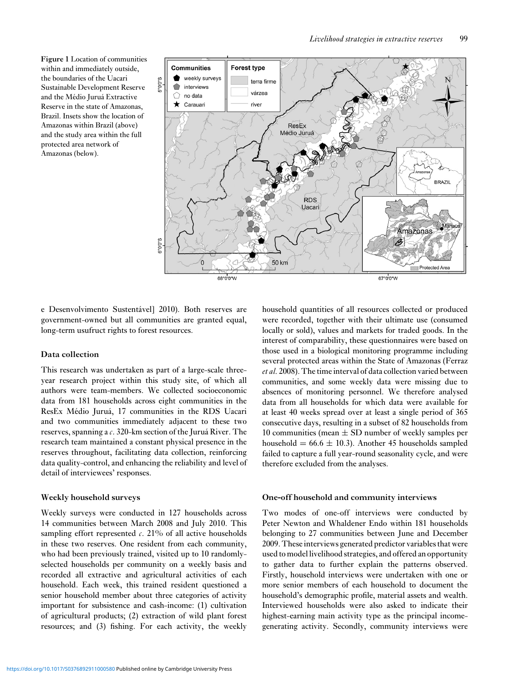**Figure 1** Location of communities within and immediately outside, the boundaries of the Uacari Sustainable Development Reserve and the Médio Juruá Extractive Reserve in the state of Amazonas, Brazil. Insets show the location of Amazonas within Brazil (above) and the study area within the full protected area network of Amazonas (below).



e Desenvolvimento Sustentável] 2010). Both reserves are government-owned but all communities are granted equal, long-term usufruct rights to forest resources.

### **Data collection**

This research was undertaken as part of a large-scale threeyear research project within this study site, of which all authors were team-members. We collected socioeconomic data from 181 households across eight communities in the ResEx Médio Juruá, 17 communities in the RDS Uacari and two communities immediately adjacent to these two reserves, spanning a *c*. 320-km section of the Juruá River. The research team maintained a constant physical presence in the reserves throughout, facilitating data collection, reinforcing data quality-control, and enhancing the reliability and level of detail of interviewees' responses.

#### **Weekly household surveys**

Weekly surveys were conducted in 127 households across 14 communities between March 2008 and July 2010. This sampling effort represented  $c$ . 21% of all active households in these two reserves. One resident from each community, who had been previously trained, visited up to 10 randomlyselected households per community on a weekly basis and recorded all extractive and agricultural activities of each household. Each week, this trained resident questioned a senior household member about three categories of activity important for subsistence and cash-income: (1) cultivation of agricultural products; (2) extraction of wild plant forest resources; and (3) fishing. For each activity, the weekly

household quantities of all resources collected or produced were recorded, together with their ultimate use (consumed locally or sold), values and markets for traded goods. In the interest of comparability, these questionnaires were based on those used in a biological monitoring programme including several protected areas within the State of Amazonas (Ferraz *et al.* 2008). The time interval of data collection varied between communities, and some weekly data were missing due to absences of monitoring personnel. We therefore analysed data from all households for which data were available for at least 40 weeks spread over at least a single period of 365 consecutive days, resulting in a subset of 82 households from 10 communities (mean  $\pm$  SD number of weekly samples per household  $= 66.6 \pm 10.3$ . Another 45 households sampled failed to capture a full year-round seasonality cycle, and were therefore excluded from the analyses.

### **One-off household and community interviews**

Two modes of one-off interviews were conducted by Peter Newton and Whaldener Endo within 181 households belonging to 27 communities between June and December 2009. These interviews generated predictor variables that were used to model livelihood strategies, and offered an opportunity to gather data to further explain the patterns observed. Firstly, household interviews were undertaken with one or more senior members of each household to document the household's demographic profile, material assets and wealth. Interviewed households were also asked to indicate their highest-earning main activity type as the principal incomegenerating activity. Secondly, community interviews were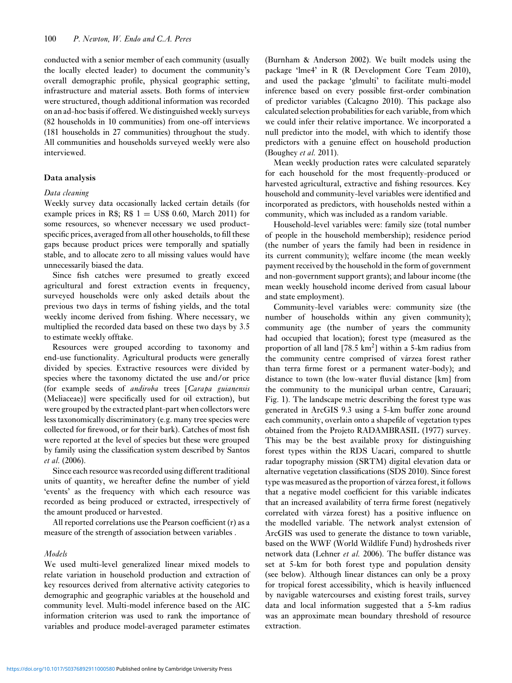conducted with a senior member of each community (usually the locally elected leader) to document the community's overall demographic profile, physical geographic setting, infrastructure and material assets. Both forms of interview were structured, though additional information was recorded on an ad-hoc basis if offered. We distinguished weekly surveys (82 households in 10 communities) from one-off interviews (181 households in 27 communities) throughout the study. All communities and households surveyed weekly were also interviewed.

### **Data analysis**

# *Data cleaning*

Weekly survey data occasionally lacked certain details (for example prices in R\$; R\$  $1 = US$$  0.60, March 2011) for some resources, so whenever necessary we used productspecific prices, averaged from all other households, to fill these gaps because product prices were temporally and spatially stable, and to allocate zero to all missing values would have unnecessarily biased the data.

Since fish catches were presumed to greatly exceed agricultural and forest extraction events in frequency, surveyed households were only asked details about the previous two days in terms of fishing yields, and the total weekly income derived from fishing. Where necessary, we multiplied the recorded data based on these two days by 3.5 to estimate weekly offtake.

Resources were grouped according to taxonomy and end-use functionality. Agricultural products were generally divided by species. Extractive resources were divided by species where the taxonomy dictated the use and/or price (for example seeds of *andiroba* trees [*Carapa guianensis* (Meliaceae)] were specifically used for oil extraction), but were grouped by the extracted plant-part when collectors were less taxonomically discriminatory (e.g. many tree species were collected for firewood, or for their bark). Catches of most fish were reported at the level of species but these were grouped by family using the classification system described by Santos *et al.* (2006).

Since each resource was recorded using different traditional units of quantity, we hereafter define the number of yield 'events' as the frequency with which each resource was recorded as being produced or extracted, irrespectively of the amount produced or harvested.

All reported correlations use the Pearson coefficient (r) as a measure of the strength of association between variables .

### *Models*

We used multi-level generalized linear mixed models to relate variation in household production and extraction of key resources derived from alternative activity categories to demographic and geographic variables at the household and community level. Multi-model inference based on the AIC information criterion was used to rank the importance of variables and produce model-averaged parameter estimates (Burnham & Anderson 2002). We built models using the package 'lme4' in R (R Development Core Team 2010), and used the package 'glmulti' to facilitate multi-model inference based on every possible first-order combination of predictor variables (Calcagno 2010). This package also calculated selection probabilities for each variable, from which we could infer their relative importance. We incorporated a null predictor into the model, with which to identify those predictors with a genuine effect on household production (Boughey *et al.* 2011).

Mean weekly production rates were calculated separately for each household for the most frequently-produced or harvested agricultural, extractive and fishing resources. Key household and community-level variables were identified and incorporated as predictors, with households nested within a community, which was included as a random variable.

Household-level variables were: family size (total number of people in the household membership); residence period (the number of years the family had been in residence in its current community); welfare income (the mean weekly payment received by the household in the form of government and non-government support grants); and labour income (the mean weekly household income derived from casual labour and state employment).

Community-level variables were: community size (the number of households within any given community); community age (the number of years the community had occupied that location); forest type (measured as the proportion of all land  $[78.5 \text{ km}^2]$  within a 5-km radius from the community centre comprised of várzea forest rather than terra firme forest or a permanent water-body); and distance to town (the low-water fluvial distance [km] from the community to the municipal urban centre, Carauari; Fig. 1). The landscape metric describing the forest type was generated in ArcGIS 9.3 using a 5-km buffer zone around each community, overlain onto a shapefile of vegetation types obtained from the Projeto RADAMBRASIL (1977) survey. This may be the best available proxy for distinguishing forest types within the RDS Uacari, compared to shuttle radar topography mission (SRTM) digital elevation data or alternative vegetation classifications (SDS 2010). Since forest type was measured as the proportion of várzea forest, it follows that a negative model coefficient for this variable indicates that an increased availability of terra firme forest (negatively correlated with várzea forest) has a positive influence on the modelled variable. The network analyst extension of ArcGIS was used to generate the distance to town variable, based on the WWF (World Wildlife Fund) hydrosheds river network data (Lehner *et al.* 2006). The buffer distance was set at 5-km for both forest type and population density (see below). Although linear distances can only be a proxy for tropical forest accessibility, which is heavily influenced by navigable watercourses and existing forest trails, survey data and local information suggested that a 5-km radius was an approximate mean boundary threshold of resource extraction.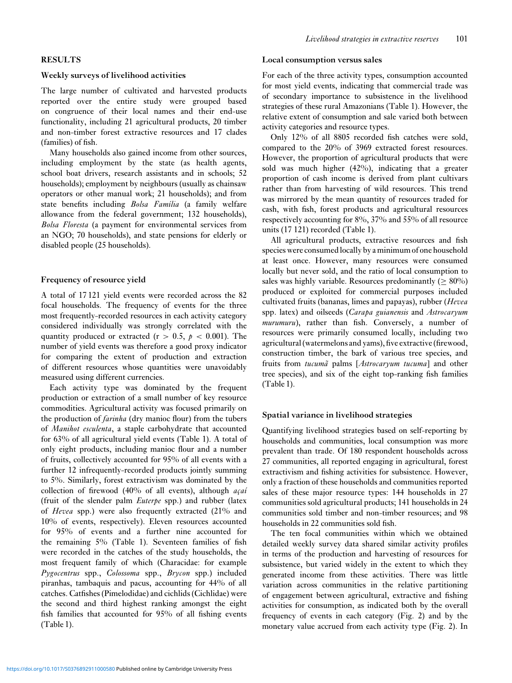### **Weekly surveys of livelihood activities**

The large number of cultivated and harvested products reported over the entire study were grouped based on congruence of their local names and their end-use functionality, including 21 agricultural products, 20 timber and non-timber forest extractive resources and 17 clades (families) of fish.

Many households also gained income from other sources, including employment by the state (as health agents, school boat drivers, research assistants and in schools; 52 households); employment by neighbours (usually as chainsaw operators or other manual work; 21 households); and from state benefits including *Bolsa Família* (a family welfare allowance from the federal government; 132 households), *Bolsa Floresta* (a payment for environmental services from an NGO; 70 households), and state pensions for elderly or disabled people (25 households).

# **Frequency of resource yield**

A total of 17 121 yield events were recorded across the 82 focal households. The frequency of events for the three most frequently-recorded resources in each activity category considered individually was strongly correlated with the quantity produced or extracted ( $r > 0.5$ ,  $p < 0.001$ ). The number of yield events was therefore a good proxy indicator for comparing the extent of production and extraction of different resources whose quantities were unavoidably measured using different currencies.

Each activity type was dominated by the frequent production or extraction of a small number of key resource commodities. Agricultural activity was focused primarily on the production of *farinha* (dry manioc flour) from the tubers of *Manihot esculenta*, a staple carbohydrate that accounted for 63% of all agricultural yield events (Table 1). A total of only eight products, including manioc flour and a number of fruits, collectively accounted for 95% of all events with a further 12 infrequently-recorded products jointly summing to 5%. Similarly, forest extractivism was dominated by the collection of firewood (40% of all events), although *acaí* (fruit of the slender palm *Euterpe* spp.) and rubber (latex of *Hevea* spp.) were also frequently extracted (21% and 10% of events, respectively). Eleven resources accounted for 95% of events and a further nine accounted for the remaining 5% (Table 1). Seventeen families of fish were recorded in the catches of the study households, the most frequent family of which (Characidae: for example *Pygocentrus* spp., *Colossoma* spp., *Brycon* spp.) included piranhas, tambaquis and pacus, accounting for 44% of all catches. Catfishes (Pimelodidae) and cichlids (Cichlidae) were the second and third highest ranking amongst the eight fish families that accounted for 95% of all fishing events (Table 1).

## **Local consumption versus sales**

For each of the three activity types, consumption accounted for most yield events, indicating that commercial trade was of secondary importance to subsistence in the livelihood strategies of these rural Amazonians (Table 1). However, the relative extent of consumption and sale varied both between activity categories and resource types.

Only 12% of all 8805 recorded fish catches were sold, compared to the 20% of 3969 extracted forest resources. However, the proportion of agricultural products that were sold was much higher (42%), indicating that a greater proportion of cash income is derived from plant cultivars rather than from harvesting of wild resources. This trend was mirrored by the mean quantity of resources traded for cash, with fish, forest products and agricultural resources respectively accounting for 8%, 37% and 55% of all resource units (17 121) recorded (Table 1).

All agricultural products, extractive resources and fish species were consumed locally by a minimum of one household at least once. However, many resources were consumed locally but never sold, and the ratio of local consumption to sales was highly variable. Resources predominantly ( $\geq 80\%$ ) produced or exploited for commercial purposes included cultivated fruits (bananas, limes and papayas), rubber (*Hevea* spp. latex) and oilseeds (*Carapa guianensis* and *Astrocaryum murumuru*), rather than fish. Conversely, a number of resources were primarily consumed locally, including two agricultural (watermelons and yams), five extractive (firewood, construction timber, the bark of various tree species, and fruits from *tucumã* palms [*Astrocaryum tucuma*] and other tree species), and six of the eight top-ranking fish families (Table 1).

### **Spatial variance in livelihood strategies**

Quantifying livelihood strategies based on self-reporting by households and communities, local consumption was more prevalent than trade. Of 180 respondent households across 27 communities, all reported engaging in agricultural, forest extractivism and fishing activities for subsistence. However, only a fraction of these households and communities reported sales of these major resource types: 144 households in 27 communities sold agricultural products; 141 households in 24 communities sold timber and non-timber resources; and 98 households in 22 communities sold fish.

The ten focal communities within which we obtained detailed weekly survey data shared similar activity profiles in terms of the production and harvesting of resources for subsistence, but varied widely in the extent to which they generated income from these activities. There was little variation across communities in the relative partitioning of engagement between agricultural, extractive and fishing activities for consumption, as indicated both by the overall frequency of events in each category (Fig. 2) and by the monetary value accrued from each activity type (Fig. 2). In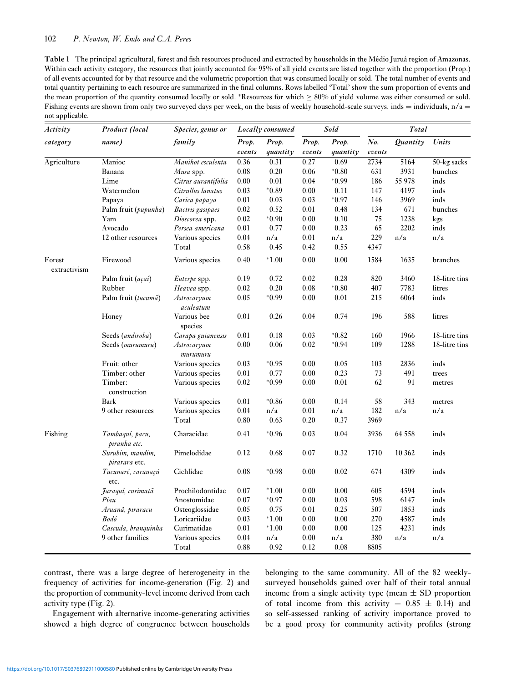| Table 1 The principal agricultural, forest and fish resources produced and extracted by households in the Médio Juruá region of Amazonas.       |
|-------------------------------------------------------------------------------------------------------------------------------------------------|
| Within each activity category, the resources that jointly accounted for 95% of all yield events are listed together with the proportion (Prop.) |
| of all events accounted for by that resource and the volumetric proportion that was consumed locally or sold. The total number of events and    |
| total quantity pertaining to each resource are summarized in the final columns. Rows labelled 'Total' show the sum proportion of events and     |
| the mean proportion of the quantity consumed locally or sold. *Resources for which $> 80\%$ of yield volume was either consumed or sold.        |
| Fishing events are shown from only two surveyed days per week, on the basis of weekly household-scale surveys. inds $=$ individuals, $n/a =$    |
| not applicable.                                                                                                                                 |

| Activity               | Product (local                    | <i>Species, genus or</i> | Locally consumed |          | Sold     |          | <b>Total</b> |          |               |  |
|------------------------|-----------------------------------|--------------------------|------------------|----------|----------|----------|--------------|----------|---------------|--|
| category               | name)                             | family                   | Prop.            | Prop.    | Prop.    | Prop.    | No.          | Quantity | Units         |  |
|                        |                                   |                          | events           | quantity | events   | quantity | events       |          |               |  |
| Agriculture            | Manioc                            | Manihot esculenta        | 0.36             | 0.31     | 0.27     | 0.69     | 2734         | 5164     | 50-kg sacks   |  |
|                        | Banana                            | Musa spp.                | $0.08\,$         | $0.20\,$ | 0.06     | $*0.80$  | 631          | 3931     | bunches       |  |
|                        | Lime                              | Citrus aurantifolia      | $0.00\,$         | 0.01     | 0.04     | $*0.99$  | 186          | 55 978   | inds          |  |
|                        | Watermelon                        | Citrullus lanatus        | 0.03             | $*0.89$  | 0.00     | 0.11     | 147          | 4197     | inds          |  |
|                        | Papaya                            | Carica papaya            | $0.01\,$         | 0.03     | 0.03     | $*0.97$  | 146          | 3969     | inds          |  |
|                        | Palm fruit (pupunha)              | Bactris gasipaes         | 0.02             | 0.52     | 0.01     | 0.48     | 134          | 671      | bunches       |  |
|                        | Yam                               | Dioscorea spp.           | 0.02             | $*0.90$  | $0.00\,$ | 0.10     | 75           | 1238     | kgs           |  |
|                        | Avocado                           | Persea americana         | $0.01\,$         | 0.77     | 0.00     | 0.23     | 65           | 2202     | inds          |  |
|                        | 12 other resources                | Various species          | 0.04             | n/a      | 0.01     | n/a      | 229          | n/a      | n/a           |  |
|                        |                                   | Total                    | 0.58             | 0.45     | 0.42     | 0.55     | 4347         |          |               |  |
| Forest<br>extractivism | Firewood                          | Various species          | 0.40             | $*1.00$  | 0.00     | 0.00     | 1584         | 1635     | branches      |  |
|                        | Palm fruit (açaí)                 | <i>Euterpe</i> spp.      | 0.19             | 0.72     | 0.02     | 0.28     | 820          | 3460     | 18-litre tins |  |
|                        | Rubber                            | Heavea spp.              | 0.02             | 0.20     | 0.08     | $*0.80$  | 407          | 7783     | litres        |  |
|                        | Palm fruit (tucumã)               | Astrocaryum<br>aculeatum | 0.05             | $*0.99$  | 0.00     | $0.01\,$ | 215          | 6064     | inds          |  |
|                        | Honey                             | Various bee<br>species   | $0.01\,$         | 0.26     | 0.04     | 0.74     | 196          | 588      | litres        |  |
|                        | Seeds (andiroba)                  | Carapa guianensis        | 0.01             | 0.18     | 0.03     | $*0.82$  | 160          | 1966     | 18-litre tins |  |
|                        | Seeds (murumuru)                  | Astrocaryum<br>murumuru  | $0.00\,$         | 0.06     | 0.02     | $*0.94$  | 109          | 1288     | 18-litre tins |  |
|                        | Fruit: other                      | Various species          | 0.03             | $*0.95$  | 0.00     | 0.05     | 103          | 2836     | inds          |  |
|                        | Timber: other                     | Various species          | $0.01\,$         | 0.77     | 0.00     | 0.23     | 73           | 491      | trees         |  |
|                        | Timber:<br>construction           | Various species          | 0.02             | $*0.99$  | 0.00     | 0.01     | 62           | 91       | metres        |  |
|                        | Bark                              | Various species          | $0.01\,$         | $*0.86$  | $0.00\,$ | 0.14     | 58           | 343      | metres        |  |
|                        | 9 other resources                 | Various species          | 0.04             | n/a      | 0.01     | n/a      | 182          | n/a      | n/a           |  |
|                        |                                   | Total                    | $0.80\,$         | 0.63     | $0.20\,$ | 0.37     | 3969         |          |               |  |
| Fishing                | Tambaquí, pacu,<br>piranha etc.   | Characidae               | 0.41             | $*0.96$  | 0.03     | 0.04     | 3936         | 64 5 58  | inds          |  |
|                        | Surubim, mandim,<br>pirarara etc. | Pimelodidae              | 0.12             | 0.68     | 0.07     | 0.32     | 1710         | 10 362   | inds          |  |
|                        | Tucunaré, carauaçú<br>etc.        | Cichlidae                | 0.08             | $*0.98$  | 0.00     | 0.02     | 674          | 4309     | inds          |  |
|                        | Jaraquí, curimatã                 | Prochilodontidae         | 0.07             | $*1.00$  | 0.00     | 0.00     | 605          | 4594     | inds          |  |
|                        | Piau                              | Anostomidae              | $0.07\,$         | $*0.97$  | $0.00\,$ | 0.03     | 598          | 6147     | inds          |  |
|                        | Aruanã, piraracu                  | Osteoglossidae           | 0.05             | 0.75     | 0.01     | 0.25     | 507          | 1853     | inds          |  |
|                        | Bodó                              | Loricariidae             | 0.03             | $*1.00$  | 0.00     | 0.00     | 270          | 4587     | inds          |  |
|                        | Cascuda, branquinha               | Curimatidae              | 0.01             | $*1.00$  | 0.00     | 0.00     | 125          | 4231     | inds          |  |
|                        | 9 other families                  | Various species          | 0.04             | n/a      | 0.00     | n/a      | 380          | n/a      | n/a           |  |
|                        |                                   | Total                    | 0.88             | 0.92     | 0.12     | 0.08     | 8805         |          |               |  |

contrast, there was a large degree of heterogeneity in the frequency of activities for income-generation (Fig. 2) and the proportion of community-level income derived from each activity type (Fig. 2).

Engagement with alternative income-generating activities showed a high degree of congruence between households belonging to the same community. All of the 82 weeklysurveyed households gained over half of their total annual income from a single activity type (mean  $\pm$  SD proportion of total income from this activity =  $0.85 \pm 0.14$ ) and so self-assessed ranking of activity importance proved to be a good proxy for community activity profiles (strong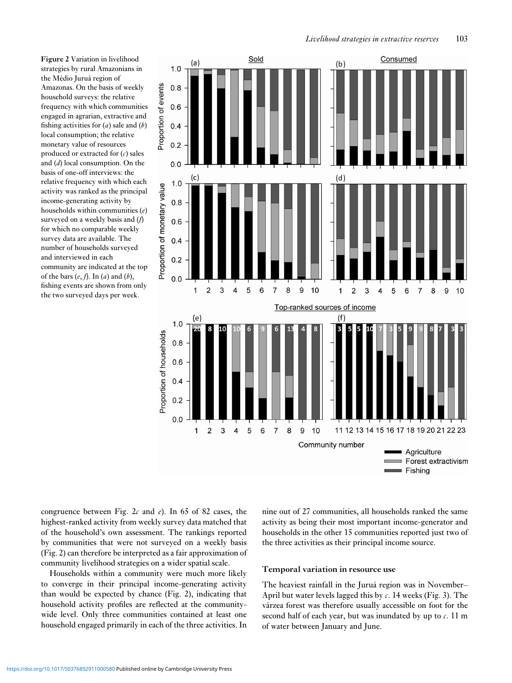*Livelihood strategies in extractive reserves* 103

**Figure 2** Variation in livelihood strategies by rural Amazonians in the Médio Juruá region of Amazonas. On the basis of weekly household surveys: the relative frequency with which communities engaged in agrarian, extractive and fishing activities for (*a*) sale and (*b*) local consumption; the relative monetary value of resources produced or extracted for (*c*) sales and (*d*) local consumption. On the basis of one-off interviews: the relative frequency with which each activity was ranked as the principal income-generating activity by households within communities (*e*) surveyed on a weekly basis and (*f*) for which no comparable weekly survey data are available. The number of households surveyed and interviewed in each community are indicated at the top of the bars (*e*, *f*). In (*a*) and (*b*), fishing events are shown from only the two surveyed days per week.



congruence between Fig. 2*c* and *e*). In 65 of 82 cases, the highest-ranked activity from weekly survey data matched that of the household's own assessment. The rankings reported by communities that were not surveyed on a weekly basis (Fig. 2) can therefore be interpreted as a fair approximation of community livelihood strategies on a wider spatial scale.

Households within a community were much more likely to converge in their principal income-generating activity than would be expected by chance (Fig. 2), indicating that household activity profiles are reflected at the communitywide level. Only three communities contained at least one household engaged primarily in each of the three activities. In nine out of 27 communities, all households ranked the same activity as being their most important income-generator and households in the other 15 communities reported just two of the three activities as their principal income source.

### **Temporal variation in resource use**

The heaviest rainfall in the Juruá region was in November– April but water levels lagged this by *c*. 14 weeks (Fig. 3). The várzea forest was therefore usually accessible on foot for the second half of each year, but was inundated by up to *c*. 11 m of water between January and June.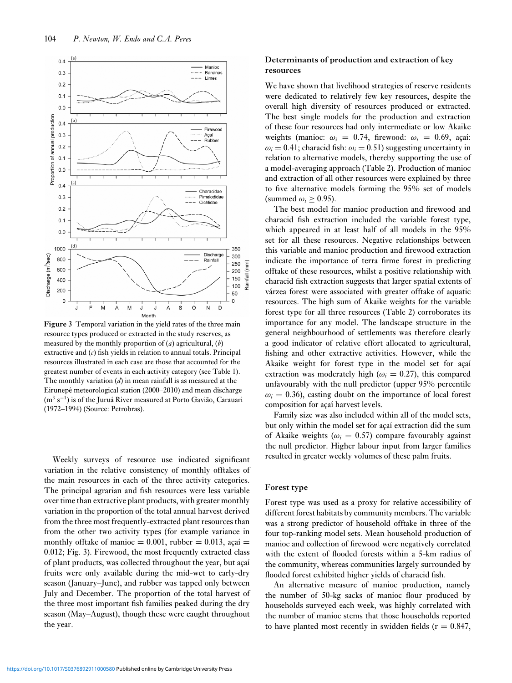

**Figure 3** Temporal variation in the yield rates of the three main resource types produced or extracted in the study reserves, as measured by the monthly proportion of (*a*) agricultural, (*b*) extractive and (*c*) fish yields in relation to annual totals. Principal resources illustrated in each case are those that accounted for the greatest number of events in each activity category (see Table 1). The monthly variation (*d*) in mean rainfall is as measured at the Eirunepé meteorological station (2000–2010) and mean discharge (m3 s−1) is of the Juruá River measured at Porto Gavião, Carauari (1972–1994) (Source: Petrobras).

Weekly surveys of resource use indicated significant variation in the relative consistency of monthly offtakes of the main resources in each of the three activity categories. The principal agrarian and fish resources were less variable over time than extractive plant products, with greater monthly variation in the proportion of the total annual harvest derived from the three most frequently-extracted plant resources than from the other two activity types (for example variance in monthly offtake of manioc = 0.001, rubber = 0.013, açaí = 0.012; Fig. 3). Firewood, the most frequently extracted class of plant products, was collected throughout the year, but açaí fruits were only available during the mid-wet to early-dry season (January–June), and rubber was tapped only between July and December. The proportion of the total harvest of the three most important fish families peaked during the dry season (May–August), though these were caught throughout the year.

# **Determinants of production and extraction of key resources**

We have shown that livelihood strategies of reserve residents were dedicated to relatively few key resources, despite the overall high diversity of resources produced or extracted. The best single models for the production and extraction of these four resources had only intermediate or low Akaike weights (manioc:  $\omega_i = 0.74$ , firewood:  $\omega_i = 0.69$ , açaí:  $\omega_i = 0.41$ ; characid fish:  $\omega_i = 0.51$ ) suggesting uncertainty in relation to alternative models, thereby supporting the use of a model-averaging approach (Table 2). Production of manioc and extraction of all other resources were explained by three to five alternative models forming the 95% set of models (summed  $\omega_i \geq 0.95$ ).

The best model for manioc production and firewood and characid fish extraction included the variable forest type, which appeared in at least half of all models in the 95% set for all these resources. Negative relationships between this variable and manioc production and firewood extraction indicate the importance of terra firme forest in predicting offtake of these resources, whilst a positive relationship with characid fish extraction suggests that larger spatial extents of várzea forest were associated with greater offtake of aquatic resources. The high sum of Akaike weights for the variable forest type for all three resources (Table 2) corroborates its importance for any model. The landscape structure in the general neighbourhood of settlements was therefore clearly a good indicator of relative effort allocated to agricultural, fishing and other extractive activities. However, while the Akaike weight for forest type in the model set for açaí extraction was moderately high ( $\omega_i = 0.27$ ), this compared unfavourably with the null predictor (upper 95% percentile  $\omega_i = 0.36$ , casting doubt on the importance of local forest composition for acaí harvest levels. ¸

Family size was also included within all of the model sets, but only within the model set for açaí extraction did the sum of Akaike weights ( $\omega_i = 0.57$ ) compare favourably against the null predictor. Higher labour input from larger families resulted in greater weekly volumes of these palm fruits.

### **Forest type**

Forest type was used as a proxy for relative accessibility of different forest habitats by community members. The variable was a strong predictor of household offtake in three of the four top-ranking model sets. Mean household production of manioc and collection of firewood were negatively correlated with the extent of flooded forests within a 5-km radius of the community, whereas communities largely surrounded by flooded forest exhibited higher yields of characid fish.

An alternative measure of manioc production, namely the number of 50-kg sacks of manioc flour produced by households surveyed each week, was highly correlated with the number of manioc stems that those households reported to have planted most recently in swidden fields ( $r = 0.847$ ,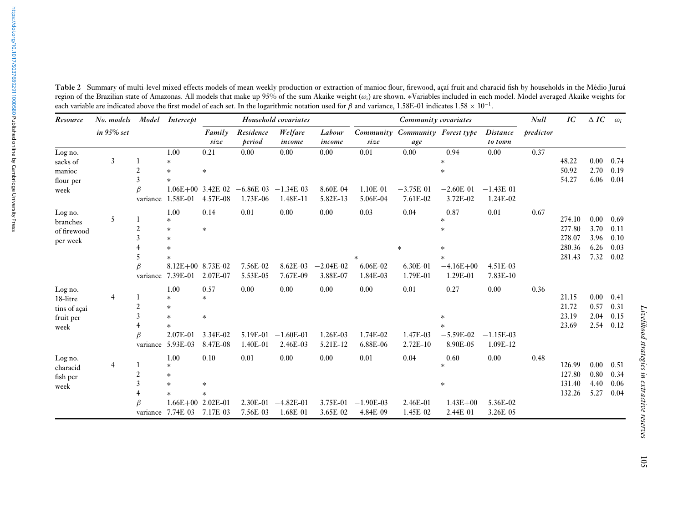| Table 2 Summary of multi-level mixed effects models of mean weekly production or extraction of manioc flour, firewood, açaí fruit and characid fish by households in the Médio Juruá           |  |  |  |
|------------------------------------------------------------------------------------------------------------------------------------------------------------------------------------------------|--|--|--|
| region of the Brazilian state of Amazonas. All models that make up 95% of the sum Akaike weight ( $\omega_i$ ) are shown. *Variables included in each model. Model averaged Akaike weights for |  |  |  |
| each variable are indicated above the first model of each set. In the logarithmic notation used for B and variance, 1.58E-01 indicates $1.58 \times 10^{-1}$ .                                 |  |  |  |

| Resource                                      | No. models     | Model          | <i>Intercept</i>      | Household covariates |                         |                   | Community covariates |              |                                        |               | <b>Null</b>                | IC        | $\Delta$ $IC$ | $\omega_i$ |      |
|-----------------------------------------------|----------------|----------------|-----------------------|----------------------|-------------------------|-------------------|----------------------|--------------|----------------------------------------|---------------|----------------------------|-----------|---------------|------------|------|
|                                               | in $95\%$ set  |                |                       | Family<br>size       | Residence<br>period     | Welfare<br>income | Labour<br>income     | size         | $Commuty$ Community Forest type<br>age |               | <b>Distance</b><br>to town | predictor |               |            |      |
| Log no.                                       |                |                | 1.00                  | 0.21                 | 0.00                    | 0.00              | 0.00                 | 0.01         | 0.00                                   | 0.94          | 0.00                       | 0.37      |               |            |      |
| sacks of                                      | 3              |                | $\ast$                |                      |                         |                   |                      |              |                                        | $\ast$        |                            |           | 48.22         | 0.00       | 0.74 |
| manioc                                        |                |                | $\ast$                | $\ast$               |                         |                   |                      |              |                                        | $\ast$        |                            |           | 50.92         | 2.70       | 0.19 |
| flour per                                     |                | 3              | $\ast$                |                      |                         |                   |                      |              |                                        |               |                            |           | 54.27         | 6.06       | 0.04 |
| week                                          |                |                | $1.06E+00$ 3.42E-02   |                      | $-6.86E-03$ $-1.34E-03$ |                   | 8.60E-04             | $1.10E - 01$ | $-3.75E-01$                            | $-2.60E-01$   | $-1.43E-01$                |           |               |            |      |
|                                               |                | variance       | $1.58E - 01$          | 4.57E-08             | 1.73E-06                | 1.48E-11          | 5.82E-13             | 5.06E-04     | 7.61E-02                               | 3.72E-02      | 1.24E-02                   |           |               |            |      |
| Log no.                                       |                |                | 1.00                  | 0.14                 | 0.01                    | 0.00              | 0.00                 | 0.03         | 0.04                                   | 0.87          | 0.01                       | 0.67      |               |            |      |
| branches                                      | 5              |                | $\ast$                |                      |                         |                   |                      |              |                                        | $\ast$        |                            |           | 274.10        | 0.00       | 0.69 |
| of firewood                                   |                | $\overline{2}$ | $\ast$                | $\ast$               |                         |                   |                      |              |                                        | $\ast$        |                            |           | 277.80        | 3.70       | 0.11 |
| per week                                      |                |                | $\ast$                |                      |                         |                   |                      |              |                                        |               |                            |           | 278.07        | 3.96       | 0.10 |
|                                               |                |                | $\ast$                |                      |                         |                   |                      |              | $\ast$                                 | $\ast$        |                            |           | 280.36        | 6.26       | 0.03 |
|                                               |                |                | $\ast$                |                      |                         |                   |                      |              |                                        |               |                            |           | 281.43        | 7.32       | 0.02 |
|                                               |                |                | $8.12E+00$ $8.73E-02$ |                      | 7.56E-02                | $8.62E - 03$      | $-2.04E-02$          | $6.06E - 02$ | $6.30E - 01$                           | $-4.16E + 00$ | $4.51E-03$                 |           |               |            |      |
|                                               |                | variance       | $7.39E - 01$          | $2.07E - 07$         | 5.53E-05                | 7.67E-09          | 3.88E-07             | $1.84E - 03$ | 1.79E-01                               | 1.29E-01      | $7.83E-10$                 |           |               |            |      |
| Log no.                                       |                |                | 1.00                  | 0.57                 | 0.00                    | 0.00              | 0.00                 | 0.00         | 0.01                                   | 0.27          | 0.00                       | 0.36      |               |            |      |
| 18-litre<br>tins of açaí<br>fruit per<br>week | 4              |                | $\ast$                | $\ast$               |                         |                   |                      |              |                                        |               |                            |           | 21.15         | 0.00       | 0.41 |
|                                               |                | $\overline{2}$ | $\ast$                |                      |                         |                   |                      |              |                                        |               |                            |           | 21.72         | 0.57       | 0.31 |
|                                               |                |                | $\ast$                | $\ast$               |                         |                   |                      |              |                                        |               |                            |           | 23.19         | 2.04       | 0.15 |
|                                               |                |                | $\ast$                |                      |                         |                   |                      |              |                                        |               |                            |           | 23.69         | 2.54       | 0.12 |
|                                               |                |                | $2.07E - 01$          | $3.34E - 02$         | 5.19E-01                | $-1.60E-01$       | $1.26E - 03$         | 1.74E-02     | $1.47E - 03$                           | $-5.59E-02$   | $-1.15E-03$                |           |               |            |      |
|                                               |                | variance       | 5.93E-03              | 8.47E-08             | 1.40E-01                | $2.46E-03$        | 5.21E-12             | 6.88E-06     | $2.72E-10$                             | 8.90E-05      | 1.09E-12                   |           |               |            |      |
| Log no.<br>characid                           | $\overline{4}$ |                | 1.00                  | 0.10                 | 0.01                    | 0.00              | 0.00                 | 0.01         | 0.04                                   | 0.60          | 0.00                       | 0.48      |               |            |      |
|                                               |                |                | $\ast$                |                      |                         |                   |                      |              |                                        | $\ast$        |                            |           | 126.99        | 0.00       | 0.51 |
| fish per                                      |                | 2              | $\ast$                |                      |                         |                   |                      |              |                                        |               |                            |           | 127.80        | 0.80       | 0.34 |
| week                                          |                | 3              | $\ast$                | $\ast$               |                         |                   |                      |              |                                        | $\ast$        |                            |           | 131.40        | 4.40       | 0.06 |
|                                               |                |                | $\ast$                | $\ast$               |                         |                   |                      |              |                                        |               |                            |           | 132.26        | 5.27       | 0.04 |
|                                               |                |                | $1.66E+00$ 2.02E-01   |                      | $2.30E - 01$            | $-4.82E-01$       | 3.75E-01             | $-1.90E-03$  | 2.46E-01                               | $1.43E + 00$  | 5.36E-02                   |           |               |            |      |
|                                               |                | variance       | 7.74E-03              | 7.17E-03             | 7.56E-03                | $1.68E - 01$      | 3.65E-02             | 4.84E-09     | 1.45E-02                               | $2.44E - 01$  | $3.26E - 05$               |           |               |            |      |

105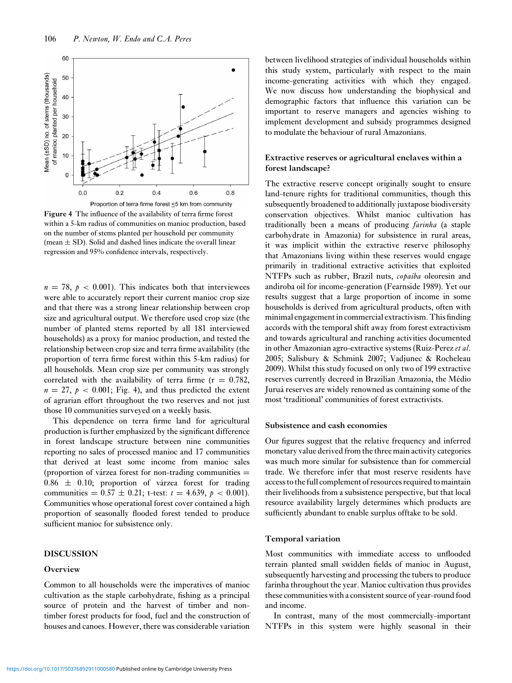

**Figure 4** The influence of the availability of terra firme forest within a 5-km radius of communities on manioc production, based on the number of stems planted per household per community (mean  $\pm$  SD). Solid and dashed lines indicate the overall linear regression and 95% confidence intervals, respectively.

 $n = 78$ ,  $p < 0.001$ ). This indicates both that interviewees were able to accurately report their current manioc crop size and that there was a strong linear relationship between crop size and agricultural output. We therefore used crop size (the number of planted stems reported by all 181 interviewed households) as a proxy for manioc production, and tested the relationship between crop size and terra firme availability (the proportion of terra firme forest within this 5-km radius) for all households. Mean crop size per community was strongly correlated with the availability of terra firme ( $r = 0.782$ ,  $n = 27$ ,  $p < 0.001$ ; Fig. 4), and thus predicted the extent of agrarian effort throughout the two reserves and not just those 10 communities surveyed on a weekly basis.

This dependence on terra firme land for agricultural production is further emphasized by the significant difference in forest landscape structure between nine communities reporting no sales of processed manioc and 17 communities that derived at least some income from manioc sales (proportion of várzea forest for non-trading communities  $=$  $0.86 \pm 0.10$ ; proportion of várzea forest for trading communities =  $0.57 \pm 0.21$ ; t-test:  $t = 4.639$ ,  $p < 0.001$ ). Communities whose operational forest cover contained a high proportion of seasonally flooded forest tended to produce sufficient manioc for subsistence only.

### **DISCUSSION**

# **Overview**

Common to all households were the imperatives of manioc cultivation as the staple carbohydrate, fishing as a principal source of protein and the harvest of timber and nontimber forest products for food, fuel and the construction of houses and canoes. However, there was considerable variation between livelihood strategies of individual households within this study system, particularly with respect to the main income-generating activities with which they engaged. We now discuss how understanding the biophysical and demographic factors that influence this variation can be important to reserve managers and agencies wishing to implement development and subsidy programmes designed to modulate the behaviour of rural Amazonians.

# **Extractive reserves or agricultural enclaves within a forest landscape?**

The extractive reserve concept originally sought to ensure land-tenure rights for traditional communities, though this subsequently broadened to additionally juxtapose biodiversity conservation objectives. Whilst manioc cultivation has traditionally been a means of producing *farinha* (a staple carbohydrate in Amazonia) for subsistence in rural areas, it was implicit within the extractive reserve philosophy that Amazonians living within these reserves would engage primarily in traditional extractive activities that exploited NTFPs such as rubber, Brazil nuts, *copaíba* oleoresin and andiroba oil for income-generation (Fearnside 1989). Yet our results suggest that a large proportion of income in some households is derived from agricultural products, often with minimal engagement in commercial extractivism. This finding accords with the temporal shift away from forest extractivism and towards agricultural and ranching activities documented in other Amazonian agro-extractive systems (Ruiz-Perez *et al*. 2005; Salisbury & Schmink 2007; Vadjunec & Rocheleau 2009). Whilst this study focused on only two of 199 extractive reserves currently decreed in Brazilian Amazonia, the Médio Juruá reserves are widely renowned as containing some of the most 'traditional' communities of forest extractivists.

# **Subsistence and cash economies**

Our figures suggest that the relative frequency and inferred monetary value derived from the three main activity categories was much more similar for subsistence than for commercial trade. We therefore infer that most reserve residents have access to the full complement of resources required to maintain their livelihoods from a subsistence perspective, but that local resource availability largely determines which products are sufficiently abundant to enable surplus offtake to be sold.

#### **Temporal variation**

Most communities with immediate access to unflooded terrain planted small swidden fields of manioc in August, subsequently harvesting and processing the tubers to produce farinha throughout the year. Manioc cultivation thus provides these communities with a consistent source of year-round food and income.

In contrast, many of the most commercially-important NTFPs in this system were highly seasonal in their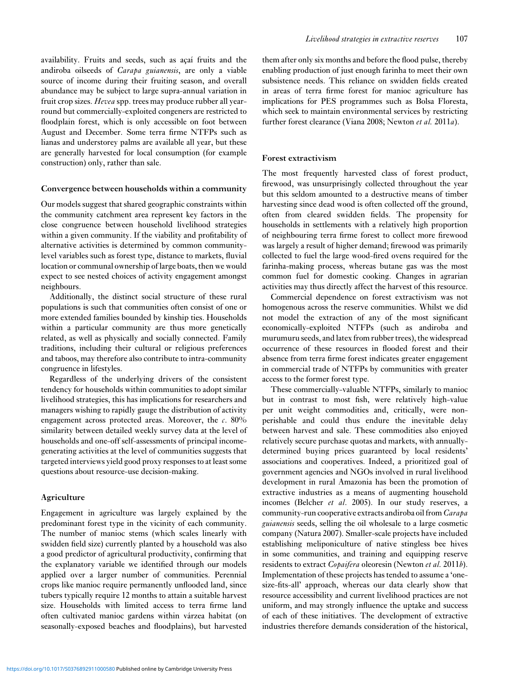availability. Fruits and seeds, such as açaí fruits and the andiroba oilseeds of *Carapa guianensis*, are only a viable source of income during their fruiting season, and overall abundance may be subject to large supra-annual variation in fruit crop sizes. *Hevea* spp. trees may produce rubber all yearround but commercially-exploited congeners are restricted to floodplain forest, which is only accessible on foot between August and December. Some terra firme NTFPs such as lianas and understorey palms are available all year, but these are generally harvested for local consumption (for example construction) only, rather than sale.

### **Convergence between households within a community**

Our models suggest that shared geographic constraints within the community catchment area represent key factors in the close congruence between household livelihood strategies within a given community. If the viability and profitability of alternative activities is determined by common communitylevel variables such as forest type, distance to markets, fluvial location or communal ownership of large boats, then we would expect to see nested choices of activity engagement amongst neighbours.

Additionally, the distinct social structure of these rural populations is such that communities often consist of one or more extended families bounded by kinship ties. Households within a particular community are thus more genetically related, as well as physically and socially connected. Family traditions, including their cultural or religious preferences and taboos, may therefore also contribute to intra-community congruence in lifestyles.

Regardless of the underlying drivers of the consistent tendency for households within communities to adopt similar livelihood strategies, this has implications for researchers and managers wishing to rapidly gauge the distribution of activity engagement across protected areas. Moreover, the *c*. 80% similarity between detailed weekly survey data at the level of households and one-off self-assessments of principal incomegenerating activities at the level of communities suggests that targeted interviews yield good proxy responses to at least some questions about resource-use decision-making.

#### **Agriculture**

Engagement in agriculture was largely explained by the predominant forest type in the vicinity of each community. The number of manioc stems (which scales linearly with swidden field size) currently planted by a household was also a good predictor of agricultural productivity, confirming that the explanatory variable we identified through our models applied over a larger number of communities. Perennial crops like manioc require permanently unflooded land, since tubers typically require 12 months to attain a suitable harvest size. Households with limited access to terra firme land often cultivated manioc gardens within várzea habitat (on seasonally-exposed beaches and floodplains), but harvested

them after only six months and before the flood pulse, thereby enabling production of just enough farinha to meet their own subsistence needs. This reliance on swidden fields created in areas of terra firme forest for manioc agriculture has implications for PES programmes such as Bolsa Floresta, which seek to maintain environmental services by restricting further forest clearance (Viana 2008; Newton *et al.* 2011*a*).

### **Forest extractivism**

The most frequently harvested class of forest product, firewood, was unsurprisingly collected throughout the year but this seldom amounted to a destructive means of timber harvesting since dead wood is often collected off the ground, often from cleared swidden fields. The propensity for households in settlements with a relatively high proportion of neighbouring terra firme forest to collect more firewood was largely a result of higher demand; firewood was primarily collected to fuel the large wood-fired ovens required for the farinha-making process, whereas butane gas was the most common fuel for domestic cooking. Changes in agrarian activities may thus directly affect the harvest of this resource.

Commercial dependence on forest extractivism was not homogenous across the reserve communities. Whilst we did not model the extraction of any of the most significant economically-exploited NTFPs (such as andiroba and murumuru seeds, and latex from rubber trees), the widespread occurrence of these resources in flooded forest and their absence from terra firme forest indicates greater engagement in commercial trade of NTFPs by communities with greater access to the former forest type.

These commercially-valuable NTFPs, similarly to manioc but in contrast to most fish, were relatively high-value per unit weight commodities and, critically, were nonperishable and could thus endure the inevitable delay between harvest and sale. These commodities also enjoyed relatively secure purchase quotas and markets, with annuallydetermined buying prices guaranteed by local residents' associations and cooperatives. Indeed, a prioritized goal of government agencies and NGOs involved in rural livelihood development in rural Amazonia has been the promotion of extractive industries as a means of augmenting household incomes (Belcher *et al*. 2005). In our study reserves, a community-run cooperative extracts andiroba oil from*Carapa guianensis* seeds, selling the oil wholesale to a large cosmetic company (Natura 2007). Smaller-scale projects have included establishing meliponiculture of native stingless bee hives in some communities, and training and equipping reserve residents to extract *Copaifera* oleoresin (Newton *et al.* 2011*b*). Implementation of these projects has tended to assume a 'onesize-fits-all' approach, whereas our data clearly show that resource accessibility and current livelihood practices are not uniform, and may strongly influence the uptake and success of each of these initiatives. The development of extractive industries therefore demands consideration of the historical,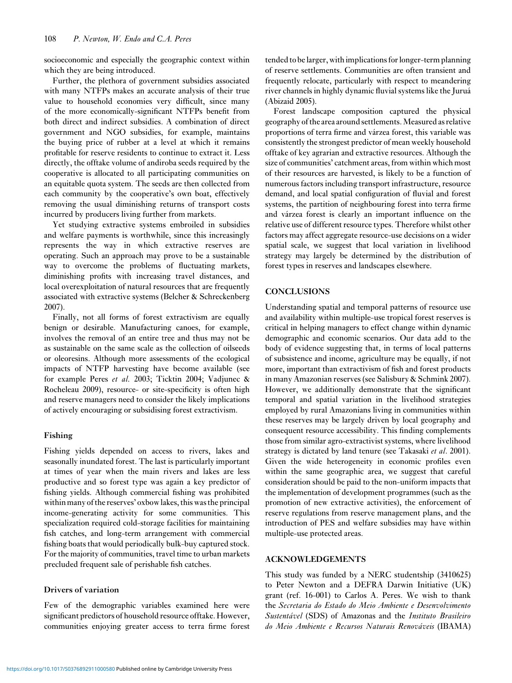socioeconomic and especially the geographic context within which they are being introduced.

Further, the plethora of government subsidies associated with many NTFPs makes an accurate analysis of their true value to household economies very difficult, since many of the more economically-significant NTFPs benefit from both direct and indirect subsidies. A combination of direct government and NGO subsidies, for example, maintains the buying price of rubber at a level at which it remains profitable for reserve residents to continue to extract it. Less directly, the offtake volume of andiroba seeds required by the cooperative is allocated to all participating communities on an equitable quota system. The seeds are then collected from each community by the cooperative's own boat, effectively removing the usual diminishing returns of transport costs incurred by producers living further from markets.

Yet studying extractive systems embroiled in subsidies and welfare payments is worthwhile, since this increasingly represents the way in which extractive reserves are operating. Such an approach may prove to be a sustainable way to overcome the problems of fluctuating markets, diminishing profits with increasing travel distances, and local overexploitation of natural resources that are frequently associated with extractive systems (Belcher & Schreckenberg 2007).

Finally, not all forms of forest extractivism are equally benign or desirable. Manufacturing canoes, for example, involves the removal of an entire tree and thus may not be as sustainable on the same scale as the collection of oilseeds or oleoresins. Although more assessments of the ecological impacts of NTFP harvesting have become available (see for example Peres *et al.* 2003; Ticktin 2004; Vadjunec & Rocheleau 2009), resource- or site-specificity is often high and reserve managers need to consider the likely implications of actively encouraging or subsidising forest extractivism.

### **Fishing**

Fishing yields depended on access to rivers, lakes and seasonally inundated forest. The last is particularly important at times of year when the main rivers and lakes are less productive and so forest type was again a key predictor of fishing yields. Although commercial fishing was prohibited within many of the reserves' oxbow lakes, this was the principal income-generating activity for some communities. This specialization required cold-storage facilities for maintaining fish catches, and long-term arrangement with commercial fishing boats that would periodically bulk-buy captured stock. For the majority of communities, travel time to urban markets precluded frequent sale of perishable fish catches.

# **Drivers of variation**

Few of the demographic variables examined here were significant predictors of household resource offtake. However, communities enjoying greater access to terra firme forest tended to be larger, with implications for longer-term planning of reserve settlements. Communities are often transient and frequently relocate, particularly with respect to meandering river channels in highly dynamic fluvial systems like the Juruá (Abizaid 2005).

Forest landscape composition captured the physical geography of the area around settlements. Measured as relative proportions of terra firme and várzea forest, this variable was consistently the strongest predictor of mean weekly household offtake of key agrarian and extractive resources. Although the size of communities' catchment areas, from within which most of their resources are harvested, is likely to be a function of numerous factors including transport infrastructure, resource demand, and local spatial configuration of fluvial and forest systems, the partition of neighbouring forest into terra firme and várzea forest is clearly an important influence on the relative use of different resource types. Therefore whilst other factors may affect aggregate resource-use decisions on a wider spatial scale, we suggest that local variation in livelihood strategy may largely be determined by the distribution of forest types in reserves and landscapes elsewhere.

# **CONCLUSIONS**

Understanding spatial and temporal patterns of resource use and availability within multiple-use tropical forest reserves is critical in helping managers to effect change within dynamic demographic and economic scenarios. Our data add to the body of evidence suggesting that, in terms of local patterns of subsistence and income, agriculture may be equally, if not more, important than extractivism of fish and forest products in many Amazonian reserves (see Salisbury & Schmink 2007). However, we additionally demonstrate that the significant temporal and spatial variation in the livelihood strategies employed by rural Amazonians living in communities within these reserves may be largely driven by local geography and consequent resource accessibility. This finding complements those from similar agro-extractivist systems, where livelihood strategy is dictated by land tenure (see Takasaki *et al*. 2001). Given the wide heterogeneity in economic profiles even within the same geographic area, we suggest that careful consideration should be paid to the non-uniform impacts that the implementation of development programmes (such as the promotion of new extractive activities), the enforcement of reserve regulations from reserve management plans, and the introduction of PES and welfare subsidies may have within multiple-use protected areas.

# **ACKNOWLEDGEMENTS**

This study was funded by a NERC studentship (3410625) to Peter Newton and a DEFRA Darwin Initiative (UK) grant (ref. 16-001) to Carlos A. Peres. We wish to thank the *Secretaria do Estado do Meio Ambiente e Desenvolvimento Sustentável* (SDS) of Amazonas and the *Instituto Brasileiro do Meio Ambiente e Recursos Naturais Renováveis* (IBAMA)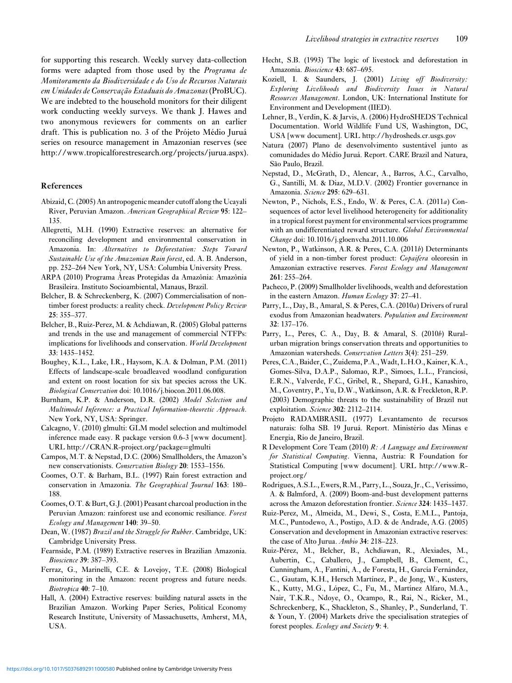for supporting this research. Weekly survey data-collection forms were adapted from those used by the *Programa de Monitoramento da Biodiversidade e do Uso de Recursos Naturais*  $em$  Unidades de Conservação Estaduais do Amazonas *(ProBUC)*. We are indebted to the household monitors for their diligent work conducting weekly surveys. We thank J. Hawes and two anonymous reviewers for comments on an earlier draft. This is publication no. 3 of the Prójeto Médio Juruá series on resource management in Amazonian reserves (see http://www.tropicalforestresearch.org/projects/jurua.aspx).

#### **References**

- Abizaid, C. (2005) An antropogenic meander cutoff along the Ucayali River, Peruvian Amazon. *American Geographical Review* **95**: 122– 135.
- Allegretti, M.H. (1990) Extractive reserves: an alternative for reconciling development and environmental conservation in Amazonia. In: *Alternatives to Deforestation: Steps Toward Sustainable Use of the Amazonian Rain forest*, ed. A. B. Anderson, pp. 252–264 New York, NY, USA: Columbia University Press.
- ARPA (2010) Programa Àreas Protegidas da Amazônia: Amazônia Brasileira. Instituto Socioambiental, Manaus, Brazil.
- Belcher, B. & Schreckenberg, K. (2007) Commercialisation of nontimber forest products: a reality check. *Development Policy Review* **25**: 355–377.
- Belcher, B., Ruiz-Perez, M. & Achdiawan, R. (2005) Global patterns and trends in the use and management of commercial NTFPs: implications for livelihoods and conservation. *World Development* **33**: 1435–1452.
- Boughey, K.L., Lake, I.R., Haysom, K.A. & Dolman, P.M. (2011) Effects of landscape-scale broadleaved woodland configuration and extent on roost location for six bat species across the UK. *Biological Conservation* doi: 10.1016/j.biocon.2011.06.008.
- Burnham, K.P. & Anderson, D.R. (2002) *Model Selection and Multimodel Inference: a Practical Information-theoretic Approach*. New York, NY, USA: Springer.
- Calcagno, V. (2010) glmulti: GLM model selection and multimodel inference made easy. R package version 0.6-3 [www document]. URL http://CRAN.R-project.org/package=glmulti
- Campos, M.T. & Nepstad, D.C. (2006) Smallholders, the Amazon's new conservationists. *Conservation Biology* **20**: 1553–1556.
- Coomes, O.T. & Barham, B.L. (1997) Rain forest extraction and conservation in Amazonia. *The Geographical Journal* **163**: 180– 188.
- Coomes, O.T. & Burt, G.J. (2001) Peasant charcoal production in the Peruvian Amazon: rainforest use and economic resiliance. *Forest Ecology and Management* **140**: 39–50.
- Dean, W. (1987) *Brazil and the Struggle for Rubber*. Cambridge, UK: Cambridge University Press.
- Fearnside, P.M. (1989) Extractive reserves in Brazilian Amazonia. *Bioscience* **39**: 387–393.
- Ferraz, G., Marinelli, C.E. & Lovejoy, T.E. (2008) Biological monitoring in the Amazon: recent progress and future needs. *Biotropica* **40**: 7–10.
- Hall, A. (2004) Extractive reserves: building natural assets in the Brazilian Amazon. Working Paper Series, Political Economy Research Institute, University of Massachusetts, Amherst, MA, USA.
- Hecht, S.B. (1993) The logic of livestock and deforestation in Amazonia. *Bioscience* **43**: 687–695.
- Koziell, I. & Saunders, J. (2001) *Living off Biodiversity: Exploring Livelihoods and Biodiversity Issues in Natural Resources Management*. London, UK: International Institute for Environment and Development (IIED).
- Lehner, B., Verdin, K. & Jarvis, A. (2006) HydroSHEDS Technical Documentation. World Wildlife Fund US, Washington, DC, USA [www document]. URL http://hydrosheds.cr.usgs.gov
- Natura (2007) Plano de desenvolvimento sustentável junto as comunidades do Médio Juruá. Report. CARE Brazil and Natura, São Paulo, Brazil.
- Nepstad, D., McGrath, D., Alencar, A., Barros, A.C., Carvalho, G., Santilli, M. & Diaz, M.D.V. (2002) Frontier governance in Amazonia. *Science* **295**: 629–631.
- Newton, P., Nichols, E.S., Endo, W. & Peres, C.A. (2011*a*) Consequences of actor level livelihood heterogeneity for additionality in a tropical forest payment for environmental services programme with an undifferentiated reward structure. *Global Environmental Change* doi: 10.1016/j.gloenvcha.2011.10.006
- Newton, P., Watkinson, A.R. & Peres, C.A. (2011*b*) Determinants of yield in a non-timber forest product: *Copaifera* oleoresin in Amazonian extractive reserves. *Forest Ecology and Management* **261**: 255–264.
- Pacheco, P. (2009) Smallholder livelihoods, wealth and deforestation in the eastern Amazon. *Human Ecology* **37**: 27–41.
- Parry, L., Day, B., Amaral, S. & Peres, C.A. (2010*a*) Drivers of rural exodus from Amazonian headwaters. *Population and Environment* **32**: 137–176.
- Parry, L., Peres, C. A., Day, B. & Amaral, S. (2010*b*) Ruralurban migration brings conservation threats and opportunities to Amazonian watersheds. *Conservation Letters* **3**(4): 251–259.
- Peres, C.A., Baider, C., Zuidema, P.A., Wadt, L.H.O., Kainer, K.A., Gomes-Silva, D.A.P., Salomao, R.P., Simoes, L.L., Franciosi, E.R.N., Valverde, F.C., Gribel, R., Shepard, G.H., Kanashiro, M., Coventry, P., Yu, D.W., Watkinson, A.R. & Freckleton, R.P. (2003) Demographic threats to the sustainability of Brazil nut exploitation. *Science* **302**: 2112–2114.
- Projeto RADAMBRASIL (1977) Levantamento de recursos naturais: folha SB. 19 Juruá. Report. Ministério das Minas e Energia, Rio de Janeiro, Brazil.
- R Development Core Team (2010) *R: A Language and Environment for Statistical Computing*. Vienna, Austria: R Foundation for Statistical Computing [www document]. URL http://www.Rproject.org/
- Rodrigues, A.S.L., Ewers, R.M., Parry, L., Souza, Jr., C., Verissimo, A. & Balmford, A. (2009) Boom-and-bust development patterns across the Amazon deforestation frontier. *Science* **324**: 1435–1437.
- Ruiz-Perez, M., Almeida, M., Dewi, S., Costa, E.M.L., Pantoja, M.C., Puntodewo, A., Postigo, A.D. & de Andrade, A.G. (2005) Conservation and development in Amazonian extractive reserves: the case of Alto Jurua. *Ambio* **34**: 218–223.
- Ruiz-Pérez, M., Belcher, B., Achdiawan, R., Alexiades, M., Aubertin, C., Caballero, J., Campbell, B., Clement, C., Cunningham, A., Fantini, A., de Foresta, H., García Fernández, C., Gautam, K.H., Hersch Martínez, P., de Jong, W., Kusters, K., Kutty, M.G., López, C., Fu, M., Martínez Alfaro, M.A., Nair, T.K.R., Ndoye, O., Ocampo, R., Rai, N., Ricker, M., Schreckenberg, K., Shackleton, S., Shanley, P., Sunderland, T. & Youn, Y. (2004) Markets drive the specialisation strategies of forest peoples. *Ecology and Society* **9**: 4.